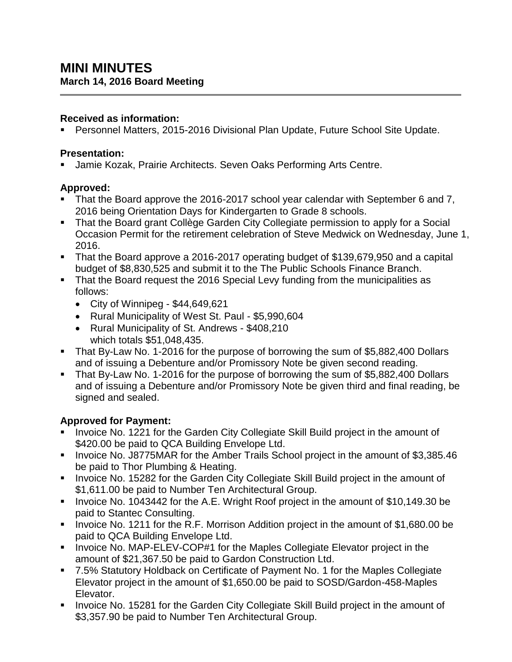#### **Received as information:**

Personnel Matters, 2015-2016 Divisional Plan Update, Future School Site Update.

#### **Presentation:**

Jamie Kozak, Prairie Architects. Seven Oaks Performing Arts Centre.

# **Approved:**

- That the Board approve the 2016-2017 school year calendar with September 6 and 7, 2016 being Orientation Days for Kindergarten to Grade 8 schools.
- That the Board grant Collège Garden City Collegiate permission to apply for a Social Occasion Permit for the retirement celebration of Steve Medwick on Wednesday, June 1, 2016.
- That the Board approve a 2016-2017 operating budget of \$139,679,950 and a capital budget of \$8,830,525 and submit it to the The Public Schools Finance Branch.
- That the Board request the 2016 Special Levy funding from the municipalities as follows:
	- $\bullet$  City of Winnipeg \$44,649,621
	- Rural Municipality of West St. Paul \$5,990,604
	- Rural Municipality of St. Andrews \$408,210 which totals \$51,048,435.
- That By-Law No. 1-2016 for the purpose of borrowing the sum of \$5,882,400 Dollars and of issuing a Debenture and/or Promissory Note be given second reading.
- That By-Law No. 1-2016 for the purpose of borrowing the sum of \$5,882,400 Dollars and of issuing a Debenture and/or Promissory Note be given third and final reading, be signed and sealed.

# **Approved for Payment:**

- **Invoice No. 1221 for the Garden City Collegiate Skill Build project in the amount of** \$420.00 be paid to QCA Building Envelope Ltd.
- **Invoice No. J8775MAR for the Amber Trails School project in the amount of \$3,385.46** be paid to Thor Plumbing & Heating.
- **Invoice No. 15282 for the Garden City Collegiate Skill Build project in the amount of** \$1,611.00 be paid to Number Ten Architectural Group.
- Invoice No. 1043442 for the A.E. Wright Roof project in the amount of \$10,149.30 be paid to Stantec Consulting.
- Invoice No. 1211 for the R.F. Morrison Addition project in the amount of \$1,680.00 be paid to QCA Building Envelope Ltd.
- **Invoice No. MAP-ELEV-COP#1 for the Maples Collegiate Elevator project in the** amount of \$21,367.50 be paid to Gardon Construction Ltd.
- 7.5% Statutory Holdback on Certificate of Payment No. 1 for the Maples Collegiate Elevator project in the amount of \$1,650.00 be paid to SOSD/Gardon-458-Maples Elevator.
- **Invoice No. 15281 for the Garden City Collegiate Skill Build project in the amount of** \$3,357.90 be paid to Number Ten Architectural Group.